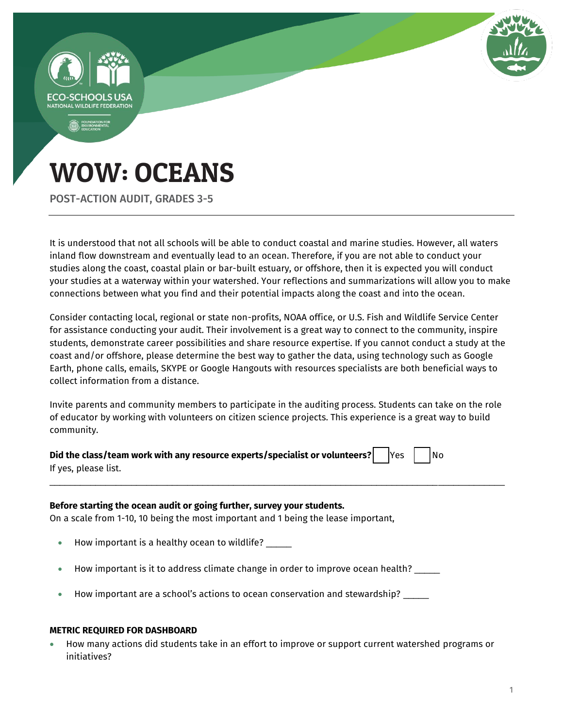

# WOW: OCEANS

POST-ACTION AUDIT, GRADES 3-5

It is understood that not all schools will be able to conduct coastal and marine studies. However, all waters inland flow downstream and eventually lead to an ocean. Therefore, if you are not able to conduct your studies along the coast, coastal plain or bar-built estuary, or offshore, then it is expected you will conduct your studies at a waterway within your watershed. Your reflections and summarizations will allow you to make connections between what you find and their potential impacts along the coast and into the ocean.

Consider contacting local, regional or state non-profits, NOAA office, or U.S. Fish and Wildlife Service Center for assistance conducting your audit. Their involvement is a great way to connect to the community, inspire students, demonstrate career possibilities and share resource expertise. If you cannot conduct a study at the coast and/or offshore, please determine the best way to gather the data, using technology such as Google Earth, phone calls, emails, SKYPE or Google Hangouts with resources specialists are both beneficial ways to collect information from a distance.

Invite parents and community members to participate in the auditing process. Students can take on the role of educator by working with volunteers on citizen science projects. This experience is a great way to build community.

\_\_\_\_\_\_\_\_\_\_\_\_\_\_\_\_\_\_\_\_\_\_\_\_\_\_\_\_\_\_\_\_\_\_\_\_\_\_\_\_\_\_\_\_\_\_\_\_\_\_\_\_\_\_\_\_\_\_\_\_\_\_\_\_\_\_\_\_\_\_\_\_\_\_\_\_\_\_\_\_\_\_\_\_\_\_\_\_\_

| Did the class/team work with any resource experts/specialist or volunteers? $\Box$ Yes $\Box$ No |  |  |  |
|--------------------------------------------------------------------------------------------------|--|--|--|
| If yes, please list.                                                                             |  |  |  |

### **Before starting the ocean audit or going further, survey your students.**

On a scale from 1-10, 10 being the most important and 1 being the lease important,

- How important is a healthy ocean to wildlife? \_\_\_\_\_
- How important is it to address climate change in order to improve ocean health? \_\_\_\_\_
- How important are a school's actions to ocean conservation and stewardship? \_\_\_\_\_

#### **METRIC REQUIRED FOR DASHBOARD**

 How many actions did students take in an effort to improve or support current watershed programs or initiatives?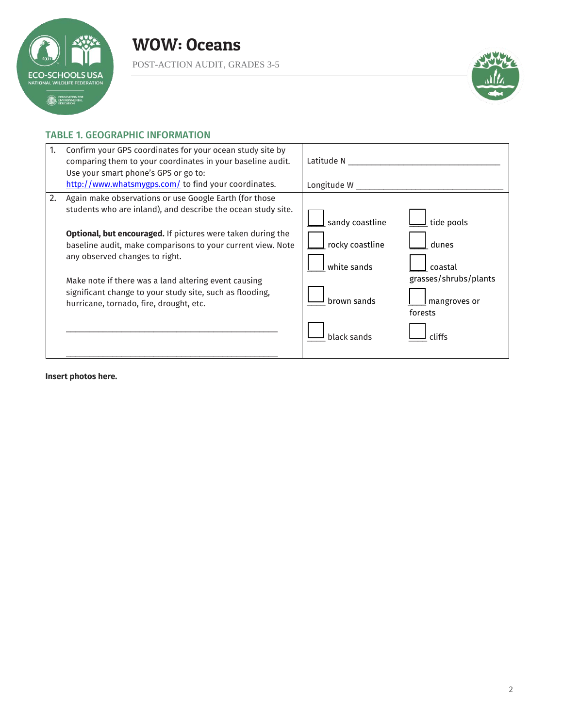

POST-ACTION AUDIT, GRADES 3-5



### TABLE 1. GEOGRAPHIC INFORMATION

| Confirm your GPS coordinates for your ocean study site by<br>1.<br>comparing them to your coordinates in your baseline audit.<br>Use your smart phone's GPS or go to:<br>http://www.whatsmygps.com/ to find your coordinates.                                                                                                                                                                                                                               | Latitude N<br>Longitude W                                                                                                                                                       |
|-------------------------------------------------------------------------------------------------------------------------------------------------------------------------------------------------------------------------------------------------------------------------------------------------------------------------------------------------------------------------------------------------------------------------------------------------------------|---------------------------------------------------------------------------------------------------------------------------------------------------------------------------------|
| 2.<br>Again make observations or use Google Earth (for those<br>students who are inland), and describe the ocean study site.<br>Optional, but encouraged. If pictures were taken during the<br>baseline audit, make comparisons to your current view. Note<br>any observed changes to right.<br>Make note if there was a land altering event causing<br>significant change to your study site, such as flooding,<br>hurricane, tornado, fire, drought, etc. | tide pools<br>sandy coastline<br>rocky coastline<br>dunes<br>white sands<br>coastal<br>grasses/shrubs/plants<br>brown sands<br>mangroves or<br>forests<br>black sands<br>rliffs |

**Insert photos here.**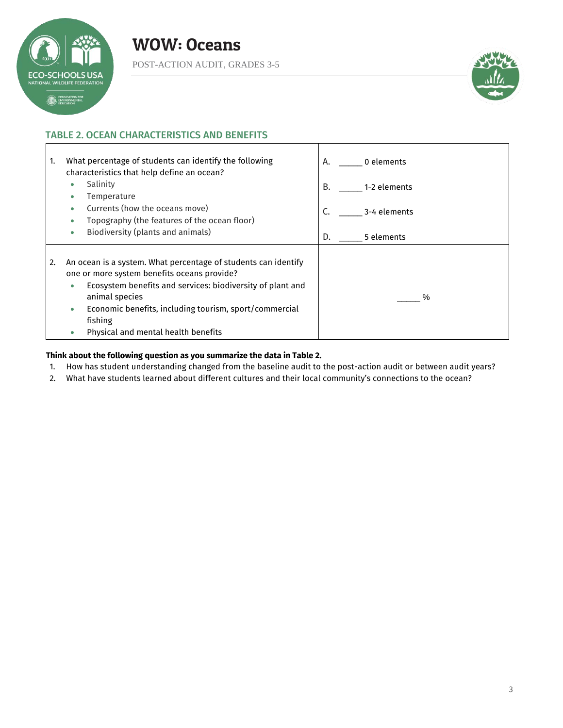

Г

POST-ACTION AUDIT, GRADES 3-5



a l

### TABLE 2. OCEAN CHARACTERISTICS AND BENEFITS

| 1. | What percentage of students can identify the following<br>characteristics that help define an ocean?                                                                                                                                                                                                                     | 0 elements<br>А.   |
|----|--------------------------------------------------------------------------------------------------------------------------------------------------------------------------------------------------------------------------------------------------------------------------------------------------------------------------|--------------------|
|    | Salinity<br>۰<br>Temperature                                                                                                                                                                                                                                                                                             | В.<br>1-2 elements |
|    | Currents (how the oceans move)<br>$\bullet$<br>Topography (the features of the ocean floor)<br>$\bullet$                                                                                                                                                                                                                 | 3-4 elements<br>C. |
|    | Biodiversity (plants and animals)<br>$\bullet$                                                                                                                                                                                                                                                                           | D.<br>5 elements   |
| 2. | An ocean is a system. What percentage of students can identify<br>one or more system benefits oceans provide?<br>Ecosystem benefits and services: biodiversity of plant and<br>۰<br>animal species<br>Economic benefits, including tourism, sport/commercial<br>۰<br>fishing<br>Physical and mental health benefits<br>۰ | $\%$               |

 $\mathbf I$ 

### **Think about the following question as you summarize the data in Table 2.**

- 1. How has student understanding changed from the baseline audit to the post-action audit or between audit years?
- 2. What have students learned about different cultures and their local community's connections to the ocean?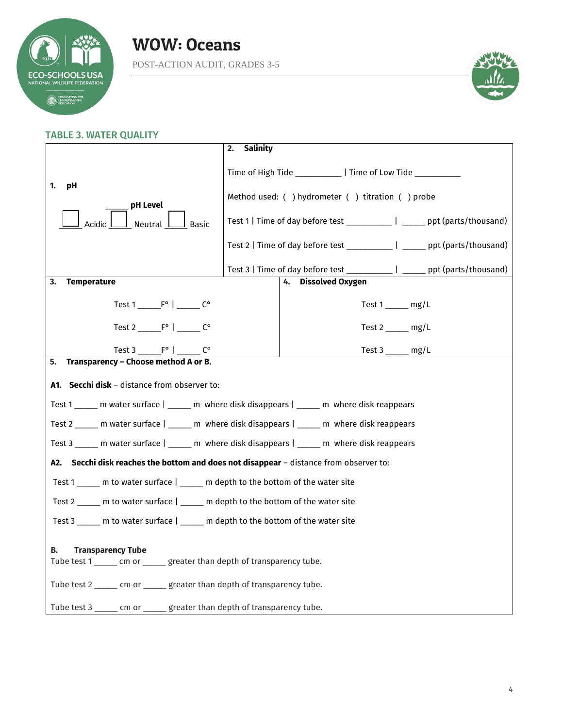

### WOW: Oceans POST-ACTION AUDIT, GRADES 3-5



### TABLE 3. WATER QUALITY

|                                                                                               | Salinity<br>2.                                                                                                                                                   |                               |                                                                              |  |
|-----------------------------------------------------------------------------------------------|------------------------------------------------------------------------------------------------------------------------------------------------------------------|-------------------------------|------------------------------------------------------------------------------|--|
|                                                                                               | Time of High Tide ______________   Time of Low Tide ___________                                                                                                  |                               |                                                                              |  |
| 1.<br>pH<br>pH Level                                                                          | Method used: ( ) hydrometer ( ) titration ( ) probe                                                                                                              |                               |                                                                              |  |
| <b>Basic</b><br>Neutral                                                                       | Test 1   Time of day before test ______________   _______ ppt (parts/thousand)<br>Test 2   Time of day before test ______________   _______ ppt (parts/thousand) |                               |                                                                              |  |
|                                                                                               |                                                                                                                                                                  |                               |                                                                              |  |
|                                                                                               |                                                                                                                                                                  |                               | Test 3   Time of day before test _____________   ______ ppt (parts/thousand) |  |
| <b>Temperature</b><br>3.                                                                      |                                                                                                                                                                  | <b>Dissolved Oxygen</b><br>4. |                                                                              |  |
| Test $1 \_ F^{\circ} \mid \_ G^{\circ}$                                                       |                                                                                                                                                                  |                               | Test $1 \_\_\_$ mg/L                                                         |  |
| Test $2 \underline{\hspace{1cm}} F^{\circ} \underline{\hspace{1cm}} F^{\circ}$                |                                                                                                                                                                  |                               | Test $2 \_\_\_\_$ mg/L                                                       |  |
| Test 3 _________________________ C°                                                           |                                                                                                                                                                  |                               | Test $3 \_\_\_\_\_\$ mg/L                                                    |  |
| Transparency - Choose method A or B.<br>5.                                                    |                                                                                                                                                                  |                               |                                                                              |  |
| A1. Secchi disk - distance from observer to:                                                  |                                                                                                                                                                  |                               |                                                                              |  |
| Test 1 ______ m water surface   _____ m where disk disappears   _____ m where disk reappears  |                                                                                                                                                                  |                               |                                                                              |  |
| Test 2 ______ m water surface   _____ m where disk disappears   _____ m where disk reappears  |                                                                                                                                                                  |                               |                                                                              |  |
| Test 3 ______ m water surface   ______ m where disk disappears   _____ m where disk reappears |                                                                                                                                                                  |                               |                                                                              |  |
| A2. Secchi disk reaches the bottom and does not disappear - distance from observer to:        |                                                                                                                                                                  |                               |                                                                              |  |
| Test 1 _____ m to water surface   _____ m depth to the bottom of the water site               |                                                                                                                                                                  |                               |                                                                              |  |
| Test 2 _____ m to water surface   _____ m depth to the bottom of the water site               |                                                                                                                                                                  |                               |                                                                              |  |
| Test 3 ______ m to water surface   ______ m depth to the bottom of the water site             |                                                                                                                                                                  |                               |                                                                              |  |
| <b>Transparency Tube</b><br>В.                                                                |                                                                                                                                                                  |                               |                                                                              |  |
| Tube test 1 ______ cm or ______ greater than depth of transparency tube.                      |                                                                                                                                                                  |                               |                                                                              |  |
| Tube test 2 ______ cm or ______ greater than depth of transparency tube.                      |                                                                                                                                                                  |                               |                                                                              |  |
| Tube test 3 ______ cm or ______ greater than depth of transparency tube.                      |                                                                                                                                                                  |                               |                                                                              |  |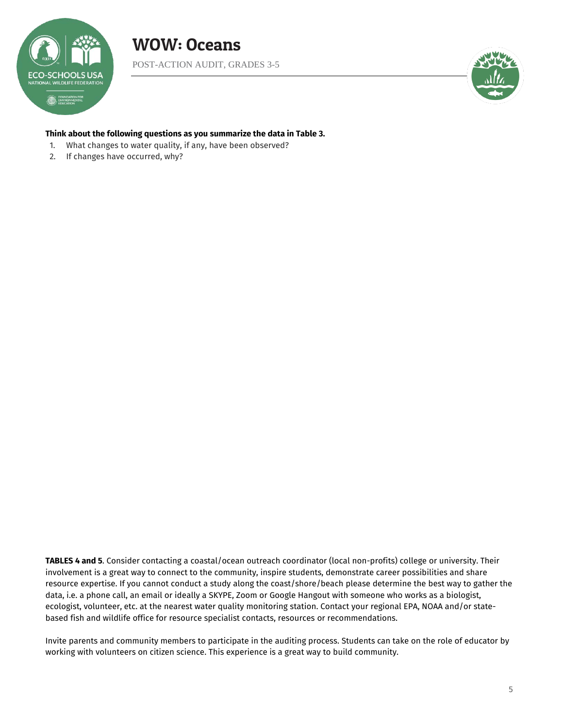

POST-ACTION AUDIT, GRADES 3-5

![](_page_4_Picture_3.jpeg)

### **Think about the following questions as you summarize the data in Table 3.**

- 1. What changes to water quality, if any, have been observed?
- 2. If changes have occurred, why?

**TABLES 4 and 5**. Consider contacting a coastal/ocean outreach coordinator (local non-profits) college or university. Their involvement is a great way to connect to the community, inspire students, demonstrate career possibilities and share resource expertise. If you cannot conduct a study along the coast/shore/beach please determine the best way to gather the data, i.e. a phone call, an email or ideally a SKYPE, Zoom or Google Hangout with someone who works as a biologist, ecologist, volunteer, etc. at the nearest water quality monitoring station. Contact your regional EPA, NOAA and/or statebased fish and wildlife office for resource specialist contacts, resources or recommendations.

Invite parents and community members to participate in the auditing process. Students can take on the role of educator by working with volunteers on citizen science. This experience is a great way to build community.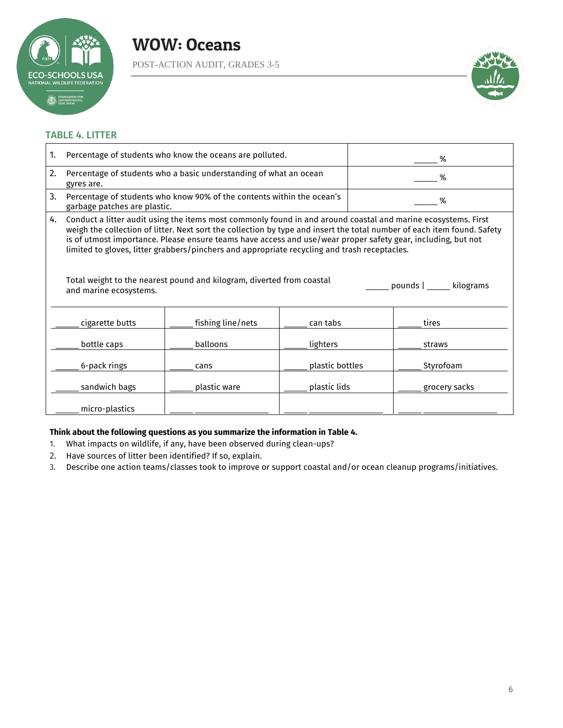![](_page_5_Picture_0.jpeg)

POST-ACTION AUDIT, GRADES 3-5

![](_page_5_Picture_3.jpeg)

### TABLE 4. LITTER

| 1. |                                                                                                                                                                                                                                                                                                                                                                                                                                                                                                                                                                                         |                   |                 |   |               |
|----|-----------------------------------------------------------------------------------------------------------------------------------------------------------------------------------------------------------------------------------------------------------------------------------------------------------------------------------------------------------------------------------------------------------------------------------------------------------------------------------------------------------------------------------------------------------------------------------------|-------------------|-----------------|---|---------------|
|    | Percentage of students who know the oceans are polluted.                                                                                                                                                                                                                                                                                                                                                                                                                                                                                                                                |                   |                 | % |               |
| 2. | Percentage of students who a basic understanding of what an ocean<br>gyres are.                                                                                                                                                                                                                                                                                                                                                                                                                                                                                                         |                   |                 |   | %             |
| 3. | Percentage of students who know 90% of the contents within the ocean's<br>garbage patches are plastic.                                                                                                                                                                                                                                                                                                                                                                                                                                                                                  |                   | %               |   |               |
| 4. | Conduct a litter audit using the items most commonly found in and around coastal and marine ecosystems. First<br>weigh the collection of litter. Next sort the collection by type and insert the total number of each item found. Safety<br>is of utmost importance. Please ensure teams have access and use/wear proper safety gear, including, but not<br>limited to gloves, litter grabbers/pinchers and appropriate recycling and trash receptacles.<br>Total weight to the nearest pound and kilogram, diverted from coastal<br>pounds   _____ kilograms<br>and marine ecosystems. |                   |                 |   |               |
|    | cigarette butts                                                                                                                                                                                                                                                                                                                                                                                                                                                                                                                                                                         | fishing line/nets | can tabs        |   | tires         |
|    | bottle caps                                                                                                                                                                                                                                                                                                                                                                                                                                                                                                                                                                             | balloons          | lighters        |   | straws        |
|    | 6-pack rings                                                                                                                                                                                                                                                                                                                                                                                                                                                                                                                                                                            | cans              | plastic bottles |   | Styrofoam     |
|    | sandwich bags                                                                                                                                                                                                                                                                                                                                                                                                                                                                                                                                                                           | plastic ware      | plastic lids    |   | grocery sacks |
|    | micro-plastics                                                                                                                                                                                                                                                                                                                                                                                                                                                                                                                                                                          |                   |                 |   |               |

### **Think about the following questions as you summarize the information in Table 4.**

- 1. What impacts on wildlife, if any, have been observed during clean-ups?
- 2. Have sources of litter been identified? If so, explain.
- 3. Describe one action teams/classes took to improve or support coastal and/or ocean cleanup programs/initiatives.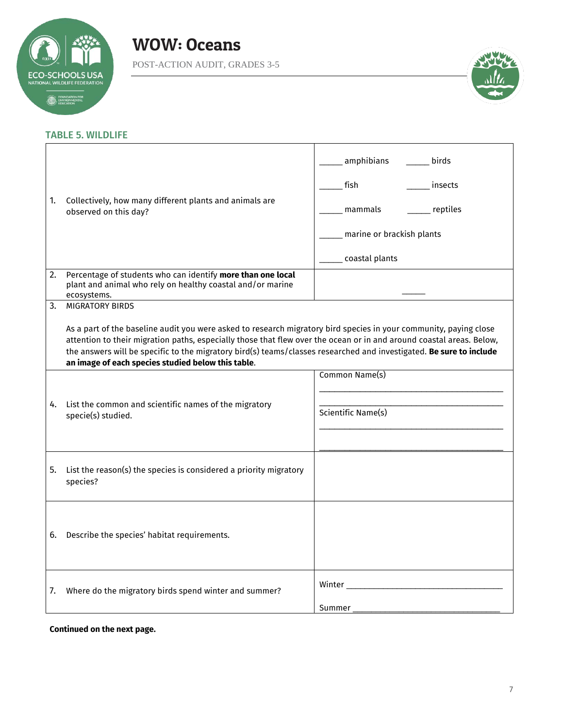![](_page_6_Picture_0.jpeg)

POST-ACTION AUDIT, GRADES 3-5

![](_page_6_Picture_3.jpeg)

### TABLE 5. WILDLIFE

| 1. | Collectively, how many different plants and animals are<br>observed on this day?                                                                                                                                                                                                                                                                                                                                       | amphibians<br>birds<br>fish<br>insects<br>__ reptiles<br>mammals<br>marine or brackish plants<br>_____ coastal plants |  |
|----|------------------------------------------------------------------------------------------------------------------------------------------------------------------------------------------------------------------------------------------------------------------------------------------------------------------------------------------------------------------------------------------------------------------------|-----------------------------------------------------------------------------------------------------------------------|--|
| 2. | Percentage of students who can identify more than one local<br>plant and animal who rely on healthy coastal and/or marine<br>ecosystems.                                                                                                                                                                                                                                                                               |                                                                                                                       |  |
| 3. | <b>MIGRATORY BIRDS</b>                                                                                                                                                                                                                                                                                                                                                                                                 |                                                                                                                       |  |
|    | As a part of the baseline audit you were asked to research migratory bird species in your community, paying close<br>attention to their migration paths, especially those that flew over the ocean or in and around coastal areas. Below,<br>the answers will be specific to the migratory bird(s) teams/classes researched and investigated. Be sure to include<br>an image of each species studied below this table. |                                                                                                                       |  |
|    |                                                                                                                                                                                                                                                                                                                                                                                                                        | Common Name(s)                                                                                                        |  |
| 4. | List the common and scientific names of the migratory<br>specie(s) studied.                                                                                                                                                                                                                                                                                                                                            | Scientific Name(s)                                                                                                    |  |
|    | 5. List the reason(s) the species is considered a priority migratory<br>species?                                                                                                                                                                                                                                                                                                                                       |                                                                                                                       |  |
| 6. | Describe the species' habitat requirements.                                                                                                                                                                                                                                                                                                                                                                            |                                                                                                                       |  |
| 7. | Where do the migratory birds spend winter and summer?                                                                                                                                                                                                                                                                                                                                                                  | Summer                                                                                                                |  |

### **Continued on the next page.**